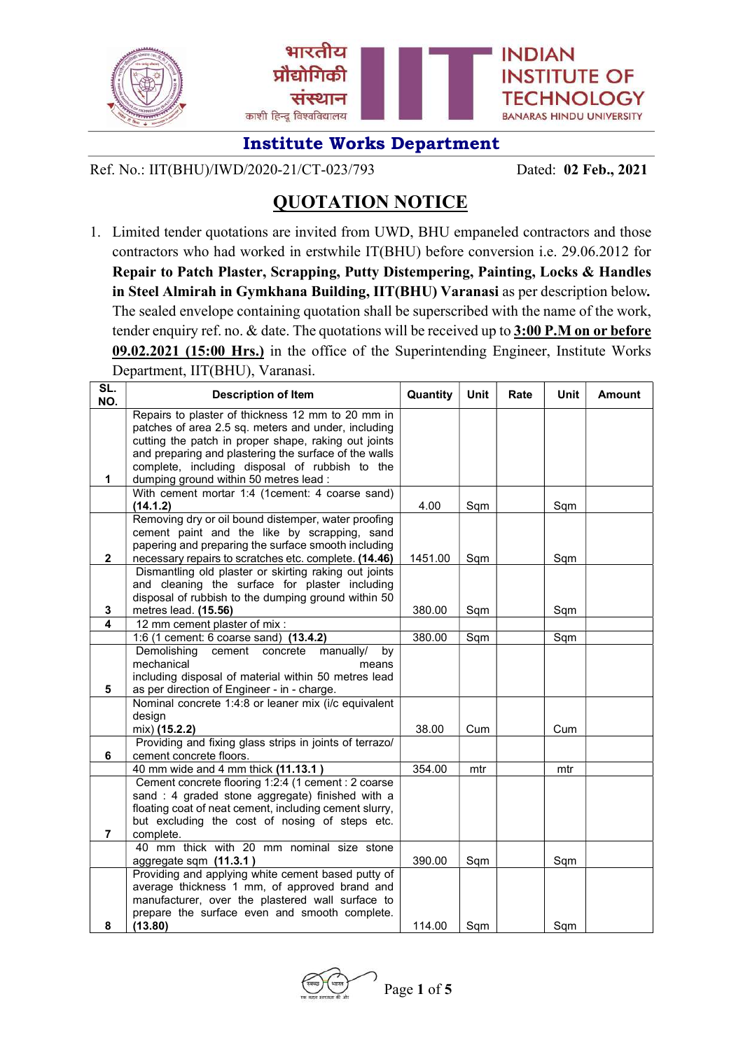

Ref. No.: IIT(BHU)/IWD/2020-21/CT-023/793 Dated: 02 Feb., 2021

# QUOTATION NOTICE

1. Limited tender quotations are invited from UWD, BHU empaneled contractors and those contractors who had worked in erstwhile IT(BHU) before conversion i.e. 29.06.2012 for Repair to Patch Plaster, Scrapping, Putty Distempering, Painting, Locks & Handles in Steel Almirah in Gymkhana Building, IIT(BHU) Varanasi as per description below. The sealed envelope containing quotation shall be superscribed with the name of the work, tender enquiry ref. no.  $\&$  date. The quotations will be received up to  $3:00$  P.M on or before 09.02.2021 (15:00 Hrs.) in the office of the Superintending Engineer, Institute Works Department, IIT(BHU), Varanasi.

| SL.<br>NO.              | <b>Description of Item</b>                                                                                 | Quantity | <b>Unit</b> | Rate | <b>Unit</b> | <b>Amount</b> |
|-------------------------|------------------------------------------------------------------------------------------------------------|----------|-------------|------|-------------|---------------|
|                         | Repairs to plaster of thickness 12 mm to 20 mm in<br>patches of area 2.5 sq. meters and under, including   |          |             |      |             |               |
|                         | cutting the patch in proper shape, raking out joints                                                       |          |             |      |             |               |
|                         | and preparing and plastering the surface of the walls                                                      |          |             |      |             |               |
|                         | complete, including disposal of rubbish to the                                                             |          |             |      |             |               |
| 1                       | dumping ground within 50 metres lead :                                                                     |          |             |      |             |               |
|                         | With cement mortar 1:4 (1cement: 4 coarse sand)<br>(14.1.2)                                                | 4.00     | Sqm         |      | Sqm         |               |
|                         | Removing dry or oil bound distemper, water proofing                                                        |          |             |      |             |               |
|                         | cement paint and the like by scrapping, sand                                                               |          |             |      |             |               |
|                         | papering and preparing the surface smooth including                                                        |          |             |      |             |               |
| $\overline{2}$          | necessary repairs to scratches etc. complete. (14.46)                                                      | 1451.00  | Sqm         |      | Sqm         |               |
|                         | Dismantling old plaster or skirting raking out joints                                                      |          |             |      |             |               |
|                         | and cleaning the surface for plaster including<br>disposal of rubbish to the dumping ground within 50      |          |             |      |             |               |
| 3                       | metres lead. (15.56)                                                                                       | 380.00   | Sqm         |      | Sqm         |               |
| $\overline{\mathbf{4}}$ | 12 mm cement plaster of mix :                                                                              |          |             |      |             |               |
|                         | 1:6 (1 cement: 6 coarse sand)<br>(13.4.2)                                                                  | 380.00   | Sqm         |      | Sqm         |               |
|                         | Demolishing<br>cement concrete<br>manually/<br>by                                                          |          |             |      |             |               |
|                         | mechanical<br>means                                                                                        |          |             |      |             |               |
|                         | including disposal of material within 50 metres lead                                                       |          |             |      |             |               |
| 5                       | as per direction of Engineer - in - charge.<br>Nominal concrete 1:4:8 or leaner mix (i/c equivalent        |          |             |      |             |               |
|                         | design                                                                                                     |          |             |      |             |               |
|                         | mix) (15.2.2)                                                                                              | 38.00    | Cum         |      | Cum         |               |
|                         | Providing and fixing glass strips in joints of terrazo/                                                    |          |             |      |             |               |
| 6                       | cement concrete floors.                                                                                    |          |             |      |             |               |
|                         | 40 mm wide and 4 mm thick (11.13.1)                                                                        | 354.00   | mtr         |      | mtr         |               |
|                         | Cement concrete flooring 1:2:4 (1 cement : 2 coarse                                                        |          |             |      |             |               |
|                         | sand : 4 graded stone aggregate) finished with a<br>floating coat of neat cement, including cement slurry, |          |             |      |             |               |
|                         | but excluding the cost of nosing of steps etc.                                                             |          |             |      |             |               |
| 7                       | complete.                                                                                                  |          |             |      |             |               |
|                         | 40 mm thick with 20 mm nominal size stone                                                                  |          |             |      |             |               |
|                         | aggregate sqm (11.3.1)                                                                                     | 390.00   | Sqm         |      | Sqm         |               |
|                         | Providing and applying white cement based putty of                                                         |          |             |      |             |               |
|                         | average thickness 1 mm, of approved brand and                                                              |          |             |      |             |               |
|                         | manufacturer, over the plastered wall surface to<br>prepare the surface even and smooth complete.          |          |             |      |             |               |
| 8                       | (13.80)                                                                                                    | 114.00   | Sqm         |      | Sqm         |               |

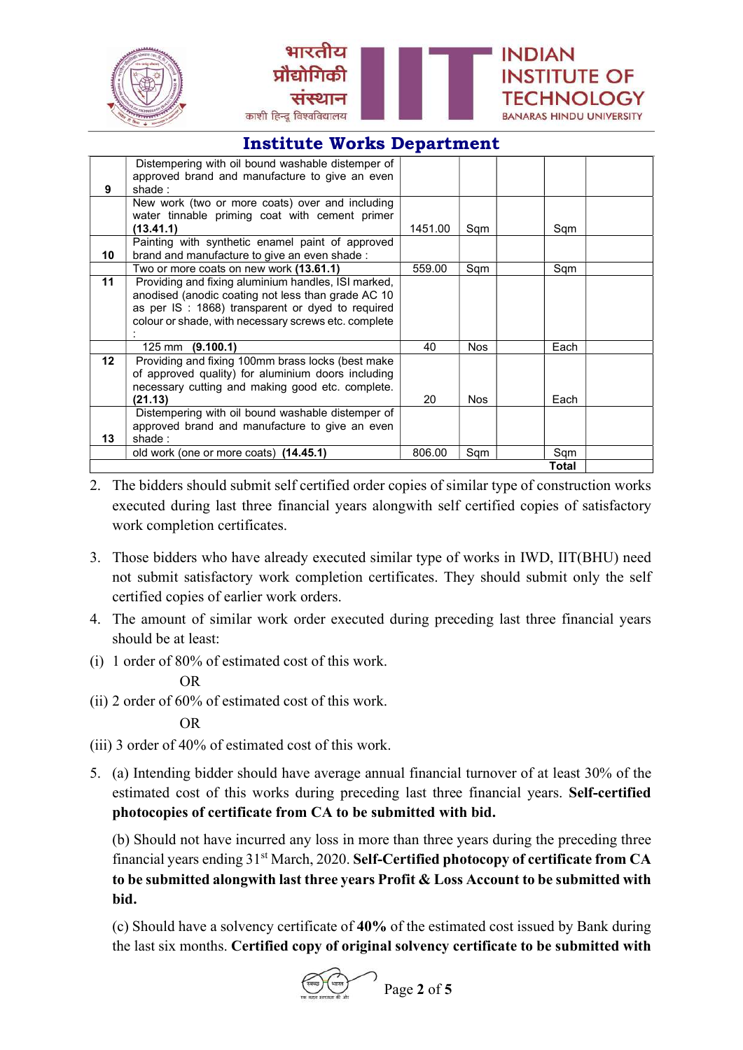



|                 | Distempering with oil bound washable distemper of    |         |            |      |  |  |
|-----------------|------------------------------------------------------|---------|------------|------|--|--|
|                 | approved brand and manufacture to give an even       |         |            |      |  |  |
| 9               | shade:                                               |         |            |      |  |  |
|                 | New work (two or more coats) over and including      |         |            |      |  |  |
|                 | water tinnable priming coat with cement primer       |         |            |      |  |  |
|                 | (13.41.1)                                            | 1451.00 | Sqm        | Sqm  |  |  |
|                 | Painting with synthetic enamel paint of approved     |         |            |      |  |  |
| 10              | brand and manufacture to give an even shade :        |         |            |      |  |  |
|                 | Two or more coats on new work (13.61.1)              | 559.00  | Sqm        | Sqm  |  |  |
| 11              | Providing and fixing aluminium handles, ISI marked,  |         |            |      |  |  |
|                 | anodised (anodic coating not less than grade AC 10   |         |            |      |  |  |
|                 | as per IS : 1868) transparent or dyed to required    |         |            |      |  |  |
|                 | colour or shade, with necessary screws etc. complete |         |            |      |  |  |
|                 |                                                      |         |            |      |  |  |
|                 | $125 \text{ mm}$ (9.100.1)                           | 40      | <b>Nos</b> | Each |  |  |
| 12 <sup>1</sup> | Providing and fixing 100mm brass locks (best make    |         |            |      |  |  |
|                 | of approved quality) for aluminium doors including   |         |            |      |  |  |
|                 | necessary cutting and making good etc. complete.     |         |            |      |  |  |
|                 | (21.13)                                              | 20      | <b>Nos</b> | Each |  |  |
|                 | Distempering with oil bound washable distemper of    |         |            |      |  |  |
|                 | approved brand and manufacture to give an even       |         |            |      |  |  |
| 13              | shade:                                               |         |            |      |  |  |
|                 | old work (one or more coats) (14.45.1)               | 806.00  | Sqm        | Sqm  |  |  |
| Total           |                                                      |         |            |      |  |  |

- 2. The bidders should submit self certified order copies of similar type of construction works executed during last three financial years alongwith self certified copies of satisfactory work completion certificates.
- 3. Those bidders who have already executed similar type of works in IWD, IIT(BHU) need not submit satisfactory work completion certificates. They should submit only the self certified copies of earlier work orders.
- 4. The amount of similar work order executed during preceding last three financial years should be at least:
- (i) 1 order of 80% of estimated cost of this work.

#### OR

(ii) 2 order of 60% of estimated cost of this work.

### OR

- (iii) 3 order of 40% of estimated cost of this work.
- 5. (a) Intending bidder should have average annual financial turnover of at least 30% of the estimated cost of this works during preceding last three financial years. Self-certified photocopies of certificate from CA to be submitted with bid.

 (b) Should not have incurred any loss in more than three years during the preceding three financial years ending 31<sup>st</sup> March, 2020. Self-Certified photocopy of certificate from CA to be submitted alongwith last three years Profit & Loss Account to be submitted with bid.

 (c) Should have a solvency certificate of 40% of the estimated cost issued by Bank during the last six months. Certified copy of original solvency certificate to be submitted with

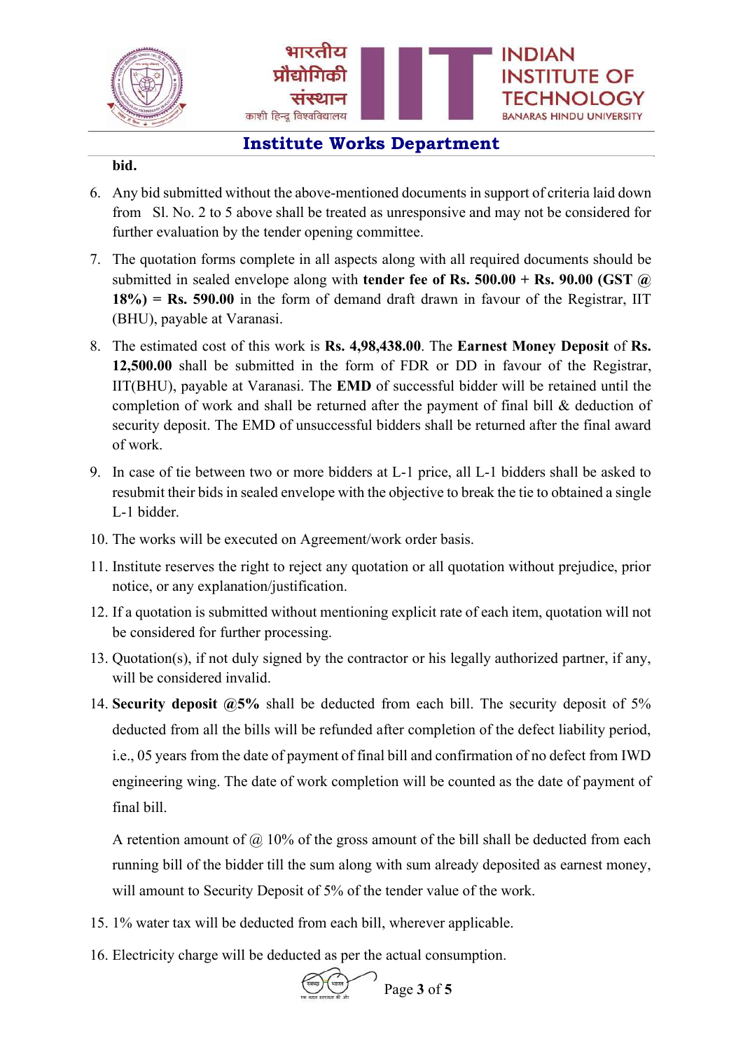

#### bid.

- 6. Any bid submitted without the above-mentioned documents in support of criteria laid down from Sl. No. 2 to 5 above shall be treated as unresponsive and may not be considered for further evaluation by the tender opening committee.
- 7. The quotation forms complete in all aspects along with all required documents should be submitted in sealed envelope along with **tender fee of Rs. 500.00 + Rs. 90.00 (GST**  $\omega$ )  $18\%$ ) = Rs. 590.00 in the form of demand draft drawn in favour of the Registrar, IIT (BHU), payable at Varanasi.
- 8. The estimated cost of this work is Rs. 4,98,438.00. The Earnest Money Deposit of Rs. 12,500.00 shall be submitted in the form of FDR or DD in favour of the Registrar, IIT(BHU), payable at Varanasi. The EMD of successful bidder will be retained until the completion of work and shall be returned after the payment of final bill & deduction of security deposit. The EMD of unsuccessful bidders shall be returned after the final award of work.
- 9. In case of tie between two or more bidders at L-1 price, all L-1 bidders shall be asked to resubmit their bids in sealed envelope with the objective to break the tie to obtained a single L-1 bidder.
- 10. The works will be executed on Agreement/work order basis.
- 11. Institute reserves the right to reject any quotation or all quotation without prejudice, prior notice, or any explanation/justification.
- 12. If a quotation is submitted without mentioning explicit rate of each item, quotation will not be considered for further processing.
- 13. Quotation(s), if not duly signed by the contractor or his legally authorized partner, if any, will be considered invalid.
- 14. Security deposit  $\omega$ 5% shall be deducted from each bill. The security deposit of 5% deducted from all the bills will be refunded after completion of the defect liability period, i.e., 05 years from the date of payment of final bill and confirmation of no defect from IWD engineering wing. The date of work completion will be counted as the date of payment of final bill.

A retention amount of  $\omega$  10% of the gross amount of the bill shall be deducted from each running bill of the bidder till the sum along with sum already deposited as earnest money, will amount to Security Deposit of 5% of the tender value of the work.

- 15. 1% water tax will be deducted from each bill, wherever applicable.
- 16. Electricity charge will be deducted as per the actual consumption.



Page 3 of 5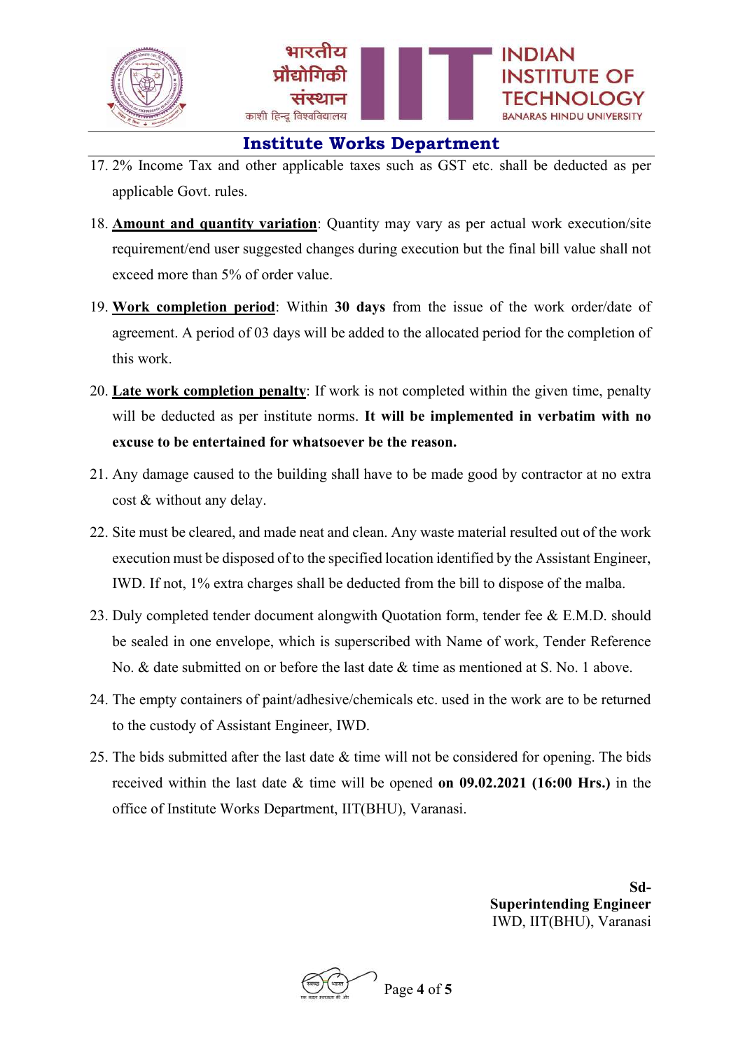

- 17. 2% Income Tax and other applicable taxes such as GST etc. shall be deducted as per applicable Govt. rules.
- 18. Amount and quantity variation: Quantity may vary as per actual work execution/site requirement/end user suggested changes during execution but the final bill value shall not exceed more than 5% of order value.
- 19. Work completion period: Within 30 days from the issue of the work order/date of agreement. A period of 03 days will be added to the allocated period for the completion of this work.
- 20. Late work completion penalty: If work is not completed within the given time, penalty will be deducted as per institute norms. It will be implemented in verbatim with no excuse to be entertained for whatsoever be the reason.
- 21. Any damage caused to the building shall have to be made good by contractor at no extra cost & without any delay.
- 22. Site must be cleared, and made neat and clean. Any waste material resulted out of the work execution must be disposed of to the specified location identified by the Assistant Engineer, IWD. If not, 1% extra charges shall be deducted from the bill to dispose of the malba.
- 23. Duly completed tender document alongwith Quotation form, tender fee & E.M.D. should be sealed in one envelope, which is superscribed with Name of work, Tender Reference No. & date submitted on or before the last date & time as mentioned at S. No. 1 above.
- 24. The empty containers of paint/adhesive/chemicals etc. used in the work are to be returned to the custody of Assistant Engineer, IWD.
- 25. The bids submitted after the last date  $\&$  time will not be considered for opening. The bids received within the last date & time will be opened on 09.02.2021 (16:00 Hrs.) in the office of Institute Works Department, IIT(BHU), Varanasi.

Sd-Superintending Engineer IWD, IIT(BHU), Varanasi